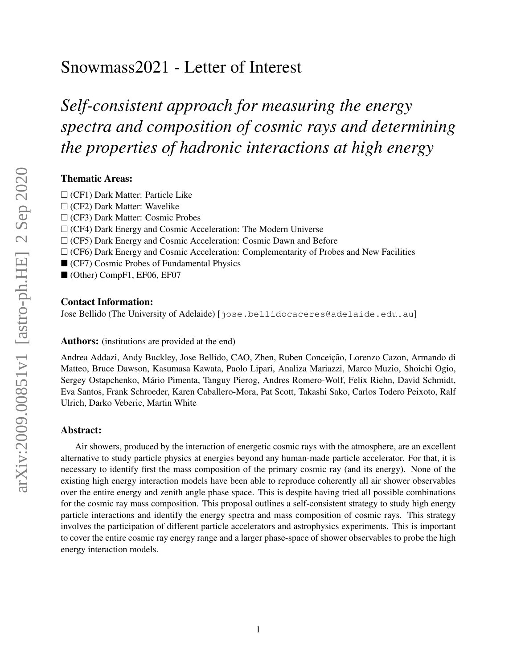# Snowmass2021 - Letter of Interest

*Self-consistent approach for measuring the energy spectra and composition of cosmic rays and determining the properties of hadronic interactions at high energy*

### Thematic Areas:

- $\Box$  (CF1) Dark Matter: Particle Like
- $\Box$  (CF2) Dark Matter: Wavelike
- (CF3) Dark Matter: Cosmic Probes
- $\Box$  (CF4) Dark Energy and Cosmic Acceleration: The Modern Universe
- $\Box$  (CF5) Dark Energy and Cosmic Acceleration: Cosmic Dawn and Before
- $\Box$  (CF6) Dark Energy and Cosmic Acceleration: Complementarity of Probes and New Facilities
- (CF7) Cosmic Probes of Fundamental Physics
- (Other) CompF1, EF06, EF07

#### Contact Information:

Jose Bellido (The University of Adelaide) [jose.bellidocaceres@adelaide.edu.au]

#### Authors: (institutions are provided at the end)

Andrea Addazi, Andy Buckley, Jose Bellido, CAO, Zhen, Ruben Conceição, Lorenzo Cazon, Armando di Matteo, Bruce Dawson, Kasumasa Kawata, Paolo Lipari, Analiza Mariazzi, Marco Muzio, Shoichi Ogio, Sergey Ostapchenko, Mario Pimenta, Tanguy Pierog, Andres Romero-Wolf, Felix Riehn, David Schmidt, ´ Eva Santos, Frank Schroeder, Karen Caballero-Mora, Pat Scott, Takashi Sako, Carlos Todero Peixoto, Ralf Ulrich, Darko Veberic, Martin White

#### Abstract:

Air showers, produced by the interaction of energetic cosmic rays with the atmosphere, are an excellent alternative to study particle physics at energies beyond any human-made particle accelerator. For that, it is necessary to identify first the mass composition of the primary cosmic ray (and its energy). None of the existing high energy interaction models have been able to reproduce coherently all air shower observables over the entire energy and zenith angle phase space. This is despite having tried all possible combinations for the cosmic ray mass composition. This proposal outlines a self-consistent strategy to study high energy particle interactions and identify the energy spectra and mass composition of cosmic rays. This strategy involves the participation of different particle accelerators and astrophysics experiments. This is important to cover the entire cosmic ray energy range and a larger phase-space of shower observables to probe the high energy interaction models.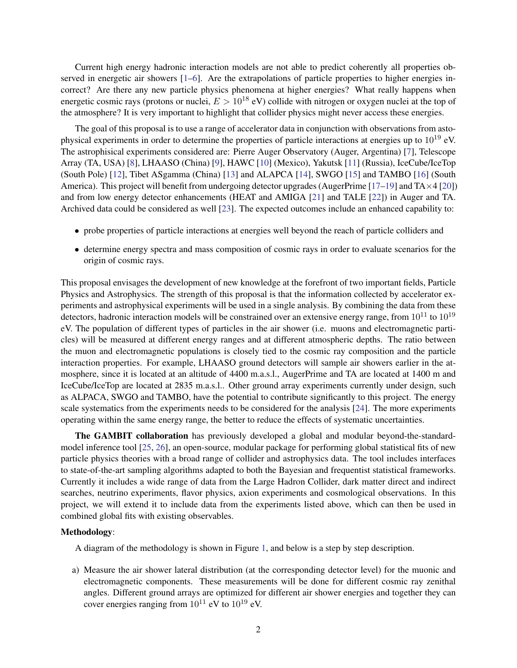Current high energy hadronic interaction models are not able to predict coherently all properties ob-served in energetic air showers [\[1–](#page-3-0)[6\]](#page-3-1). Are the extrapolations of particle properties to higher energies incorrect? Are there any new particle physics phenomena at higher energies? What really happens when energetic cosmic rays (protons or nuclei,  $E > 10^{18}$  eV) collide with nitrogen or oxygen nuclei at the top of the atmosphere? It is very important to highlight that collider physics might never access these energies.

The goal of this proposal is to use a range of accelerator data in conjunction with observations from astophysical experiments in order to determine the properties of particle interactions at energies up to  $10^{19}$  eV. The astrophisical experiments considered are: Pierre Auger Observatory (Auger, Argentina) [\[7\]](#page-3-2), Telescope Array (TA, USA) [\[8\]](#page-3-3), LHAASO (China) [\[9\]](#page-3-4), HAWC [\[10\]](#page-3-5) (Mexico), Yakutsk [\[11\]](#page-3-6) (Russia), IceCube/IceTop (South Pole) [\[12\]](#page-3-7), Tibet ASgamma (China) [\[13\]](#page-3-8) and ALAPCA [\[14\]](#page-4-0), SWGO [\[15\]](#page-4-1) and TAMBO [\[16\]](#page-4-2) (South America). This project will benefit from undergoing detector upgrades (AugerPrime [\[17](#page-4-3)[–19\]](#page-4-4) and  $TA \times 4$  [\[20\]](#page-4-5)) and from low energy detector enhancements (HEAT and AMIGA [\[21\]](#page-4-6) and TALE [\[22\]](#page-4-7)) in Auger and TA. Archived data could be considered as well [\[23\]](#page-4-8). The expected outcomes include an enhanced capability to:

- probe properties of particle interactions at energies well beyond the reach of particle colliders and
- determine energy spectra and mass composition of cosmic rays in order to evaluate scenarios for the origin of cosmic rays.

This proposal envisages the development of new knowledge at the forefront of two important fields, Particle Physics and Astrophysics. The strength of this proposal is that the information collected by accelerator experiments and astrophysical experiments will be used in a single analysis. By combining the data from these detectors, hadronic interaction models will be constrained over an extensive energy range, from  $10^{11}$  to  $10^{19}$ eV. The population of different types of particles in the air shower (i.e. muons and electromagnetic particles) will be measured at different energy ranges and at different atmospheric depths. The ratio between the muon and electromagnetic populations is closely tied to the cosmic ray composition and the particle interaction properties. For example, LHAASO ground detectors will sample air showers earlier in the atmosphere, since it is located at an altitude of 4400 m.a.s.l., AugerPrime and TA are located at 1400 m and IceCube/IceTop are located at 2835 m.a.s.l.. Other ground array experiments currently under design, such as ALPACA, SWGO and TAMBO, have the potential to contribute significantly to this project. The energy scale systematics from the experiments needs to be considered for the analysis [\[24\]](#page-4-9). The more experiments operating within the same energy range, the better to reduce the effects of systematic uncertainties.

The GAMBIT collaboration has previously developed a global and modular beyond-the-standardmodel inference tool [\[25,](#page-4-10) [26\]](#page-4-11), an open-source, modular package for performing global statistical fits of new particle physics theories with a broad range of collider and astrophysics data. The tool includes interfaces to state-of-the-art sampling algorithms adapted to both the Bayesian and frequentist statistical frameworks. Currently it includes a wide range of data from the Large Hadron Collider, dark matter direct and indirect searches, neutrino experiments, flavor physics, axion experiments and cosmological observations. In this project, we will extend it to include data from the experiments listed above, which can then be used in combined global fits with existing observables.

#### Methodology:

A diagram of the methodology is shown in Figure [1,](#page-2-0) and below is a step by step description.

a) Measure the air shower lateral distribution (at the corresponding detector level) for the muonic and electromagnetic components. These measurements will be done for different cosmic ray zenithal angles. Different ground arrays are optimized for different air shower energies and together they can cover energies ranging from  $10^{11}$  eV to  $10^{19}$  eV.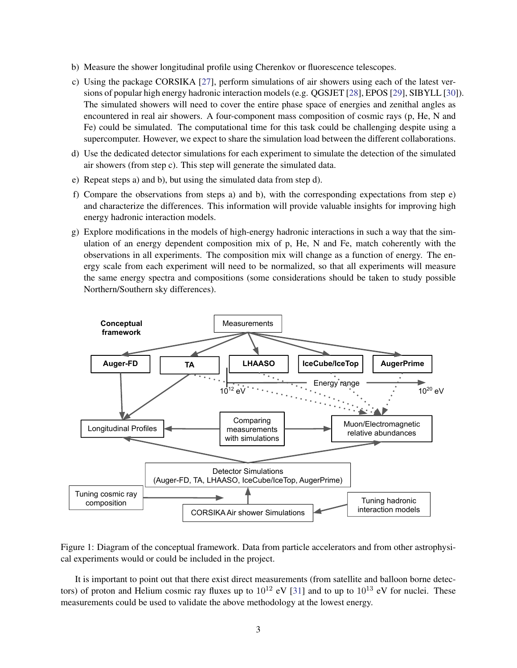- b) Measure the shower longitudinal profile using Cherenkov or fluorescence telescopes.
- c) Using the package CORSIKA [\[27\]](#page-4-12), perform simulations of air showers using each of the latest versions of popular high energy hadronic interaction models (e.g. QGSJET [\[28\]](#page-4-13), EPOS [\[29\]](#page-4-14), SIBYLL [\[30\]](#page-5-0)). The simulated showers will need to cover the entire phase space of energies and zenithal angles as encountered in real air showers. A four-component mass composition of cosmic rays (p, He, N and Fe) could be simulated. The computational time for this task could be challenging despite using a supercomputer. However, we expect to share the simulation load between the different collaborations.
- d) Use the dedicated detector simulations for each experiment to simulate the detection of the simulated air showers (from step c). This step will generate the simulated data.
- e) Repeat steps a) and b), but using the simulated data from step d).
- f) Compare the observations from steps a) and b), with the corresponding expectations from step e) and characterize the differences. This information will provide valuable insights for improving high energy hadronic interaction models.
- g) Explore modifications in the models of high-energy hadronic interactions in such a way that the simulation of an energy dependent composition mix of p, He, N and Fe, match coherently with the observations in all experiments. The composition mix will change as a function of energy. The energy scale from each experiment will need to be normalized, so that all experiments will measure the same energy spectra and compositions (some considerations should be taken to study possible Northern/Southern sky differences).



<span id="page-2-0"></span>Figure 1: Diagram of the conceptual framework. Data from particle accelerators and from other astrophysical experiments would or could be included in the project.

It is important to point out that there exist direct measurements (from satellite and balloon borne detectors) of proton and Helium cosmic ray fluxes up to  $10^{12}$  eV [\[31\]](#page-5-1) and to up to  $10^{13}$  eV for nuclei. These measurements could be used to validate the above methodology at the lowest energy.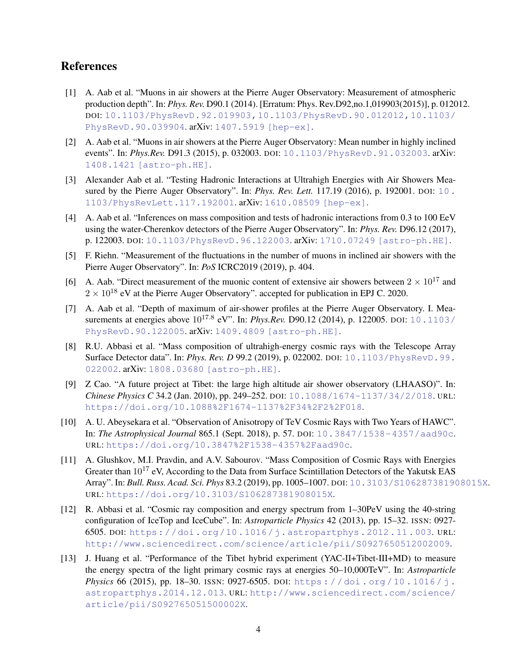## References

- <span id="page-3-0"></span>[1] A. Aab et al. "Muons in air showers at the Pierre Auger Observatory: Measurement of atmospheric production depth". In: *Phys. Rev.* D90.1 (2014). [Erratum: Phys. Rev.D92,no.1,019903(2015)], p. 012012. DOI: [10.1103/PhysRevD.92.019903,10.1103/PhysRevD.90.012012,10.1103/](http://dx.doi.org/10.1103/PhysRevD.92.019903, 10.1103/PhysRevD.90.012012, 10.1103/PhysRevD.90.039904) [PhysRevD.90.039904](http://dx.doi.org/10.1103/PhysRevD.92.019903, 10.1103/PhysRevD.90.012012, 10.1103/PhysRevD.90.039904). arXiv: [1407.5919 \[hep-ex\]](http://arxiv.org/abs/1407.5919).
- [2] A. Aab et al. "Muons in air showers at the Pierre Auger Observatory: Mean number in highly inclined events". In: *Phys.Rev.* D91.3 (2015), p. 032003. DOI: [10.1103/PhysRevD.91.032003](http://dx.doi.org/10.1103/PhysRevD.91.032003). arXiv: [1408.1421 \[astro-ph.HE\]](http://arxiv.org/abs/1408.1421).
- [3] Alexander Aab et al. "Testing Hadronic Interactions at Ultrahigh Energies with Air Showers Measured by the Pierre Auger Observatory". In: *Phys. Rev. Lett.* 117.19 (2016), p. 192001. DOI: [10.](http://dx.doi.org/10.1103/PhysRevLett.117.192001) [1103/PhysRevLett.117.192001](http://dx.doi.org/10.1103/PhysRevLett.117.192001). arXiv: [1610.08509 \[hep-ex\]](http://arxiv.org/abs/1610.08509).
- [4] A. Aab et al. "Inferences on mass composition and tests of hadronic interactions from 0.3 to 100 EeV using the water-Cherenkov detectors of the Pierre Auger Observatory". In: *Phys. Rev.* D96.12 (2017), p. 122003. DOI: [10.1103/PhysRevD.96.122003](http://dx.doi.org/10.1103/PhysRevD.96.122003). arXiv: [1710.07249 \[astro-ph.HE\]](http://arxiv.org/abs/1710.07249).
- [5] F. Riehn. "Measurement of the fluctuations in the number of muons in inclined air showers with the Pierre Auger Observatory". In: *PoS* ICRC2019 (2019), p. 404.
- <span id="page-3-1"></span>[6] A. Aab. "Direct measurement of the muonic content of extensive air showers between  $2 \times 10^{17}$  and  $2 \times 10^{18}$  eV at the Pierre Auger Observatory". accepted for publication in EPJ C. 2020.
- <span id="page-3-2"></span>[7] A. Aab et al. "Depth of maximum of air-shower profiles at the Pierre Auger Observatory. I. Measurements at energies above 10<sup>17.8</sup> eV". In: *Phys.Rev.* D90.12 (2014), p. 122005. DOI: [10.1103/](http://dx.doi.org/10.1103/PhysRevD.90.122005) [PhysRevD.90.122005](http://dx.doi.org/10.1103/PhysRevD.90.122005). arXiv: [1409.4809 \[astro-ph.HE\]](http://arxiv.org/abs/1409.4809).
- <span id="page-3-3"></span>[8] R.U. Abbasi et al. "Mass composition of ultrahigh-energy cosmic rays with the Telescope Array Surface Detector data". In: *Phys. Rev. D* 99.2 (2019), p. 022002. DOI: [10.1103/PhysRevD.99.](http://dx.doi.org/10.1103/PhysRevD.99.022002) [022002](http://dx.doi.org/10.1103/PhysRevD.99.022002). arXiv: [1808.03680 \[astro-ph.HE\]](http://arxiv.org/abs/1808.03680).
- <span id="page-3-4"></span>[9] Z Cao. "A future project at Tibet: the large high altitude air shower observatory (LHAASO)". In: *Chinese Physics C* 34.2 (Jan. 2010), pp. 249–252. DOI: [10.1088/1674-1137/34/2/018](http://dx.doi.org/10.1088/1674-1137/34/2/018). URL: <https://doi.org/10.1088%2F1674-1137%2F34%2F2%2F018>.
- <span id="page-3-5"></span>[10] A. U. Abeysekara et al. "Observation of Anisotropy of TeV Cosmic Rays with Two Years of HAWC". In: *The Astrophysical Journal* 865.1 (Sept. 2018), p. 57. DOI: [10.3847/1538-4357/aad90c](http://dx.doi.org/10.3847/1538-4357/aad90c). URL: <https://doi.org/10.3847%2F1538-4357%2Faad90c>.
- <span id="page-3-6"></span>[11] A. Glushkov, M.I. Pravdin, and A.V. Sabourov. "Mass Composition of Cosmic Rays with Energies Greater than  $10^{17}$  eV, According to the Data from Surface Scintillation Detectors of the Yakutsk EAS Array". In: *Bull. Russ. Acad. Sci. Phys* 83.2 (2019), pp. 1005–1007. DOI: [10.3103/S106287381908015X](http://dx.doi.org/10.3103/S106287381908015X). URL: <https://doi.org/10.3103/S106287381908015X>.
- <span id="page-3-7"></span>[12] R. Abbasi et al. "Cosmic ray composition and energy spectrum from 1–30PeV using the 40-string configuration of IceTop and IceCube". In: *Astroparticle Physics* 42 (2013), pp. 15–32. ISSN: 0927- 6505. DOI: [https://doi.org/10.1016/j.astropartphys.2012.11.003](http://dx.doi.org/https://doi.org/10.1016/j.astropartphys.2012.11.003). URL: <http://www.sciencedirect.com/science/article/pii/S0927650512002009>.
- <span id="page-3-8"></span>[13] J. Huang et al. "Performance of the Tibet hybrid experiment (YAC-II+Tibet-III+MD) to measure the energy spectra of the light primary cosmic rays at energies 50–10,000TeV". In: *Astroparticle Physics* 66 (2015), pp. 18–30. ISSN: 0927-6505. DOI: [https : / / doi . org / 10 . 1016 / j .](http://dx.doi.org/https://doi.org/10.1016/j.astropartphys.2014.12.013) [astropartphys.2014.12.013](http://dx.doi.org/https://doi.org/10.1016/j.astropartphys.2014.12.013). URL: [http://www.sciencedirect.com/science/](http://www.sciencedirect.com/science/article/pii/S092765051500002X) [article/pii/S092765051500002X](http://www.sciencedirect.com/science/article/pii/S092765051500002X).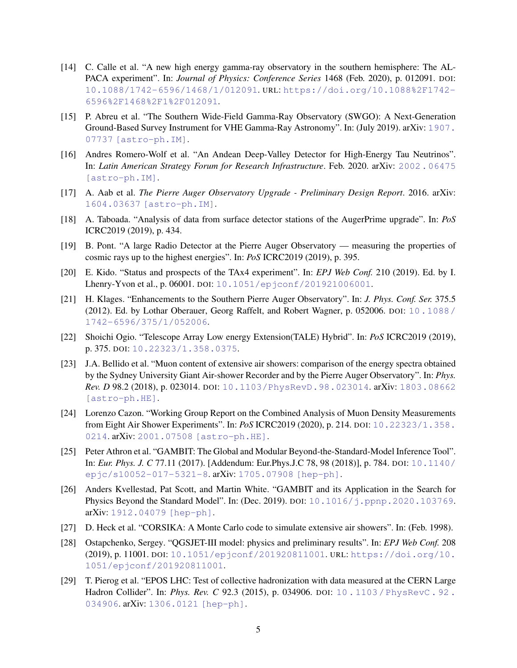- <span id="page-4-0"></span>[14] C. Calle et al. "A new high energy gamma-ray observatory in the southern hemisphere: The AL-PACA experiment". In: *Journal of Physics: Conference Series* 1468 (Feb. 2020), p. 012091. DOI: [10.1088/1742-6596/1468/1/012091](http://dx.doi.org/10.1088/1742-6596/1468/1/012091). URL: [https://doi.org/10.1088%2F1742-](https://doi.org/10.1088%2F1742-6596%2F1468%2F1%2F012091) [6596%2F1468%2F1%2F012091](https://doi.org/10.1088%2F1742-6596%2F1468%2F1%2F012091).
- <span id="page-4-1"></span>[15] P. Abreu et al. "The Southern Wide-Field Gamma-Ray Observatory (SWGO): A Next-Generation Ground-Based Survey Instrument for VHE Gamma-Ray Astronomy". In: (July 2019). arXiv: [1907.](http://arxiv.org/abs/1907.07737) [07737 \[astro-ph.IM\]](http://arxiv.org/abs/1907.07737).
- <span id="page-4-2"></span>[16] Andres Romero-Wolf et al. "An Andean Deep-Valley Detector for High-Energy Tau Neutrinos". In: *Latin American Strategy Forum for Research Infrastructure*. Feb. 2020. arXiv: [2002.06475](http://arxiv.org/abs/2002.06475) [\[astro-ph.IM\]](http://arxiv.org/abs/2002.06475).
- <span id="page-4-3"></span>[17] A. Aab et al. *The Pierre Auger Observatory Upgrade - Preliminary Design Report*. 2016. arXiv: [1604.03637 \[astro-ph.IM\]](http://arxiv.org/abs/1604.03637).
- [18] A. Taboada. "Analysis of data from surface detector stations of the AugerPrime upgrade". In: *PoS* ICRC2019 (2019), p. 434.
- <span id="page-4-4"></span>[19] B. Pont. "A large Radio Detector at the Pierre Auger Observatory — measuring the properties of cosmic rays up to the highest energies". In: *PoS* ICRC2019 (2019), p. 395.
- <span id="page-4-5"></span>[20] E. Kido. "Status and prospects of the TAx4 experiment". In: *EPJ Web Conf.* 210 (2019). Ed. by I. Lhenry-Yvon et al., p. 06001. DOI: [10.1051/epjconf/201921006001](http://dx.doi.org/10.1051/epjconf/201921006001).
- <span id="page-4-6"></span>[21] H. Klages. "Enhancements to the Southern Pierre Auger Observatory". In: *J. Phys. Conf. Ser.* 375.5 (2012). Ed. by Lothar Oberauer, Georg Raffelt, and Robert Wagner, p. 052006. DOI: [10.1088/](http://dx.doi.org/10.1088/1742-6596/375/1/052006) [1742-6596/375/1/052006](http://dx.doi.org/10.1088/1742-6596/375/1/052006).
- <span id="page-4-7"></span>[22] Shoichi Ogio. "Telescope Array Low energy Extension(TALE) Hybrid". In: *PoS* ICRC2019 (2019), p. 375. DOI: [10.22323/1.358.0375](http://dx.doi.org/10.22323/1.358.0375).
- <span id="page-4-8"></span>[23] J.A. Bellido et al. "Muon content of extensive air showers: comparison of the energy spectra obtained by the Sydney University Giant Air-shower Recorder and by the Pierre Auger Observatory". In: *Phys. Rev. D* 98.2 (2018), p. 023014. DOI: [10.1103/PhysRevD.98.023014](http://dx.doi.org/10.1103/PhysRevD.98.023014). arXiv: [1803.08662](http://arxiv.org/abs/1803.08662) [\[astro-ph.HE\]](http://arxiv.org/abs/1803.08662).
- <span id="page-4-9"></span>[24] Lorenzo Cazon. "Working Group Report on the Combined Analysis of Muon Density Measurements from Eight Air Shower Experiments". In: *PoS* ICRC2019 (2020), p. 214. DOI: [10.22323/1.358.](http://dx.doi.org/10.22323/1.358.0214) [0214](http://dx.doi.org/10.22323/1.358.0214). arXiv: [2001.07508 \[astro-ph.HE\]](http://arxiv.org/abs/2001.07508).
- <span id="page-4-10"></span>[25] Peter Athron et al. "GAMBIT: The Global and Modular Beyond-the-Standard-Model Inference Tool". In: *Eur. Phys. J. C* 77.11 (2017). [Addendum: Eur.Phys.J.C 78, 98 (2018)], p. 784. DOI: [10.1140/](http://dx.doi.org/10.1140/epjc/s10052-017-5321-8) [epjc/s10052-017-5321-8](http://dx.doi.org/10.1140/epjc/s10052-017-5321-8). arXiv: [1705.07908 \[hep-ph\]](http://arxiv.org/abs/1705.07908).
- <span id="page-4-11"></span>[26] Anders Kvellestad, Pat Scott, and Martin White. "GAMBIT and its Application in the Search for Physics Beyond the Standard Model". In: (Dec. 2019). DOI:  $10.1016/j$ .ppnp.2020.103769. arXiv: [1912.04079 \[hep-ph\]](http://arxiv.org/abs/1912.04079).
- <span id="page-4-12"></span>[27] D. Heck et al. "CORSIKA: A Monte Carlo code to simulate extensive air showers". In: (Feb. 1998).
- <span id="page-4-13"></span>[28] Ostapchenko, Sergey. "QGSJET-III model: physics and preliminary results". In: *EPJ Web Conf.* 208 (2019), p. 11001. DOI: [10.1051/epjconf/201920811001](http://dx.doi.org/10.1051/epjconf/201920811001). URL: [https://doi.org/10.](https://doi.org/10.1051/epjconf/201920811001) [1051/epjconf/201920811001](https://doi.org/10.1051/epjconf/201920811001).
- <span id="page-4-14"></span>[29] T. Pierog et al. "EPOS LHC: Test of collective hadronization with data measured at the CERN Large Hadron Collider". In: *Phys. Rev. C* 92.3 (2015), p. 034906. DOI: [10 . 1103 / PhysRevC . 92 .](http://dx.doi.org/10.1103/PhysRevC.92.034906) [034906](http://dx.doi.org/10.1103/PhysRevC.92.034906). arXiv: [1306.0121 \[hep-ph\]](http://arxiv.org/abs/1306.0121).